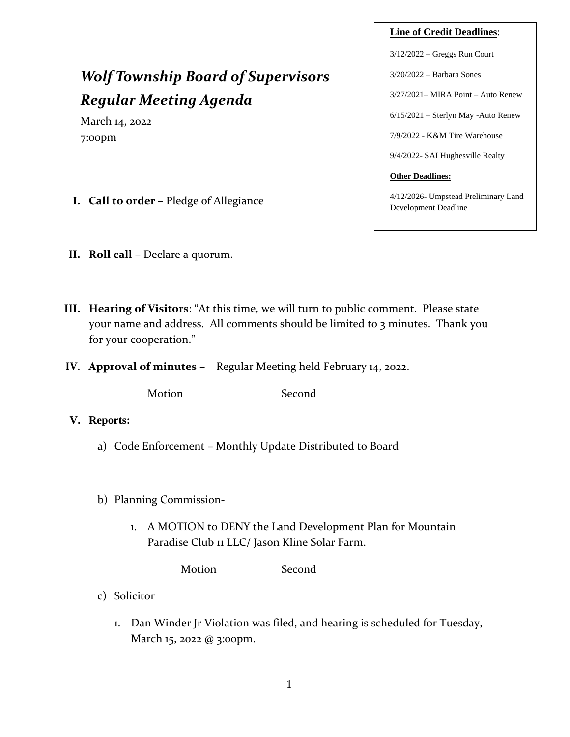# *Wolf Township Board of Supervisors Regular Meeting Agenda*

March 14, 2022 7:00pm

- **I. Call to order –** Pledge of Allegiance
- **II. Roll call** Declare a quorum.
- **III. Hearing of Visitors**: "At this time, we will turn to public comment. Please state your name and address. All comments should be limited to 3 minutes. Thank you for your cooperation."
- **IV. Approval of minutes** Regular Meeting held February 14, 2022.

Motion Second

- **V. Reports:**
	- a) Code Enforcement Monthly Update Distributed to Board
	- b) Planning Commission-
		- 1. A MOTION to DENY the Land Development Plan for Mountain Paradise Club 11 LLC/ Jason Kline Solar Farm.

Motion Second

- c) Solicitor
	- 1. Dan Winder Jr Violation was filed, and hearing is scheduled for Tuesday, March 15, 2022 @ 3:00pm.

# **Line of Credit Deadlines**:

3/12/2022 – Greggs Run Court

3/20/2022 – Barbara Sones

3/27/2021– MIRA Point – Auto Renew

6/15/2021 – Sterlyn May -Auto Renew

7/9/2022 - K&M Tire Warehouse

9/4/2022- SAI Hughesville Realty

#### **Other Deadlines:**

4/12/2026- Umpstead Preliminary Land Development Deadline